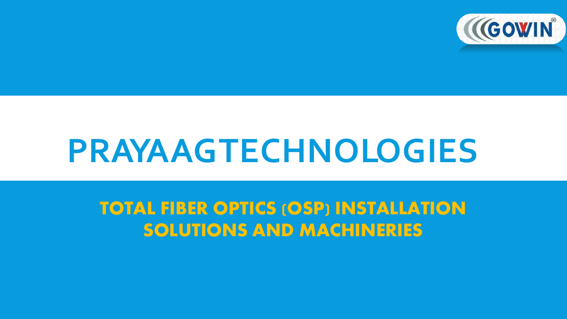

## **PRAYAAGTECHNOLOGIES**

**TOTAL FIBER OPTICS (OSP) INSTALLATION SOLUTIONS AND MACHINERIES**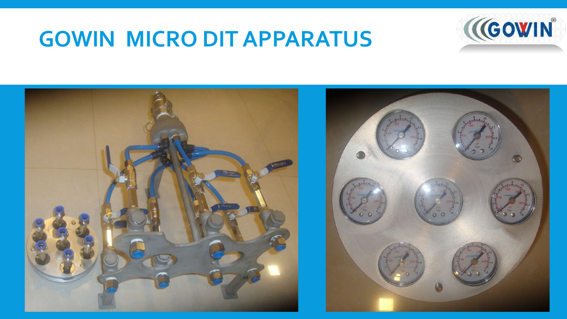## **GOWIN MICRO DIT APPARATUS**



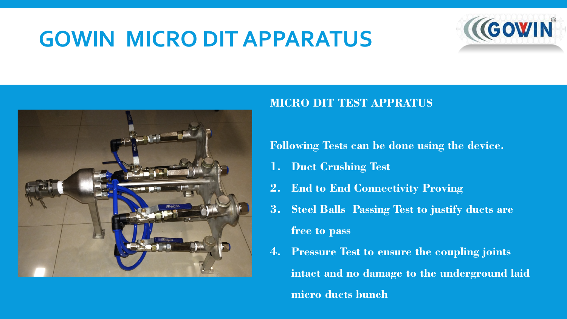## **GOWIN MICRO DIT APPARATUS**





#### **MICRO DIT TEST APPRATUS**

**Following Tests can be done using the device.**

- **1. Duct Crushing Test**
- **2. End to End Connectivity Proving**
- **3. Steel Balls Passing Test to justify ducts are free to pass**
- **4. Pressure Test to ensure the coupling joints intact and no damage to the underground laid micro ducts bunch**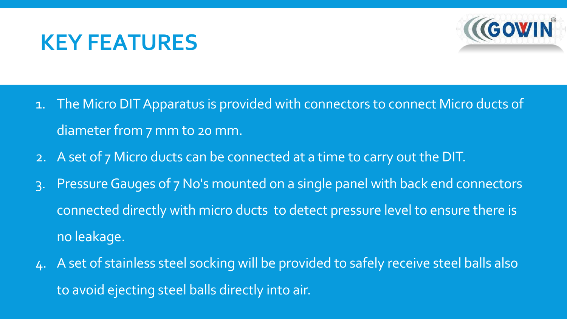## **KEY FEATURES**



- 1. The Micro DIT Apparatus is provided with connectors to connect Micro ducts of diameter from 7 mm to 20 mm.
- 2. A set of 7 Micro ducts can be connected at a time to carry out the DIT.
- 3. Pressure Gauges of 7 No's mounted on a single panel with back end connectors connected directly with micro ducts to detect pressure level to ensure there is no leakage.
- 4. A set of stainless steel socking will be provided to safely receive steel balls also to avoid ejecting steel balls directly into air.